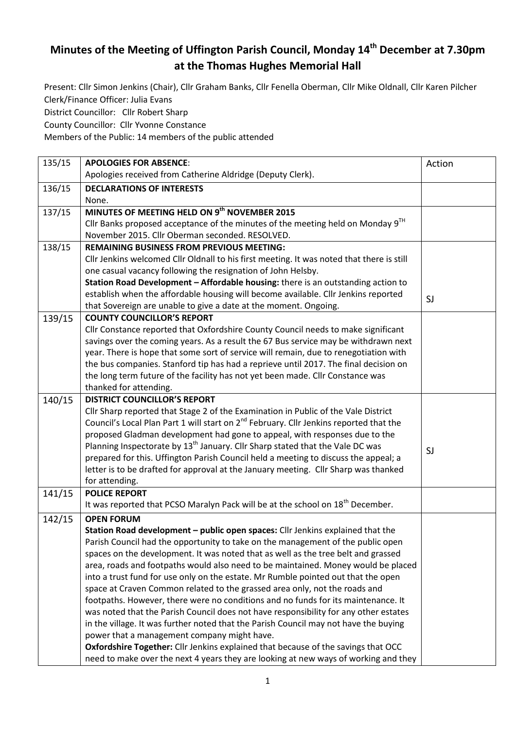## **Minutes of the Meeting of Uffington Parish Council, Monday 14th December at 7.30pm at the Thomas Hughes Memorial Hall**

Present: Cllr Simon Jenkins (Chair), Cllr Graham Banks, Cllr Fenella Oberman, Cllr Mike Oldnall, Cllr Karen Pilcher Clerk/Finance Officer: Julia Evans

District Councillor: Cllr Robert Sharp

County Councillor: Cllr Yvonne Constance

Members of the Public: 14 members of the public attended

| 135/15 | <b>APOLOGIES FOR ABSENCE:</b>                                                                      | Action |
|--------|----------------------------------------------------------------------------------------------------|--------|
|        | Apologies received from Catherine Aldridge (Deputy Clerk).                                         |        |
| 136/15 | <b>DECLARATIONS OF INTERESTS</b>                                                                   |        |
|        | None.                                                                                              |        |
| 137/15 | MINUTES OF MEETING HELD ON 9th NOVEMBER 2015                                                       |        |
|        | Cllr Banks proposed acceptance of the minutes of the meeting held on Monday $9TH$                  |        |
|        | November 2015. Cllr Oberman seconded. RESOLVED.                                                    |        |
| 138/15 | <b>REMAINING BUSINESS FROM PREVIOUS MEETING:</b>                                                   |        |
|        | Cllr Jenkins welcomed Cllr Oldnall to his first meeting. It was noted that there is still          |        |
|        | one casual vacancy following the resignation of John Helsby.                                       |        |
|        | Station Road Development - Affordable housing: there is an outstanding action to                   |        |
|        | establish when the affordable housing will become available. Cllr Jenkins reported                 | SJ     |
|        | that Sovereign are unable to give a date at the moment. Ongoing.                                   |        |
| 139/15 | <b>COUNTY COUNCILLOR'S REPORT</b>                                                                  |        |
|        | Cllr Constance reported that Oxfordshire County Council needs to make significant                  |        |
|        | savings over the coming years. As a result the 67 Bus service may be withdrawn next                |        |
|        | year. There is hope that some sort of service will remain, due to renegotiation with               |        |
|        | the bus companies. Stanford tip has had a reprieve until 2017. The final decision on               |        |
|        | the long term future of the facility has not yet been made. Cllr Constance was                     |        |
|        | thanked for attending.                                                                             |        |
| 140/15 | <b>DISTRICT COUNCILLOR'S REPORT</b>                                                                |        |
|        | Cllr Sharp reported that Stage 2 of the Examination in Public of the Vale District                 |        |
|        | Council's Local Plan Part 1 will start on 2 <sup>nd</sup> February. Cllr Jenkins reported that the |        |
|        | proposed Gladman development had gone to appeal, with responses due to the                         |        |
|        | Planning Inspectorate by 13 <sup>th</sup> January. Cllr Sharp stated that the Vale DC was          | SJ     |
|        | prepared for this. Uffington Parish Council held a meeting to discuss the appeal; a                |        |
|        | letter is to be drafted for approval at the January meeting. Cllr Sharp was thanked                |        |
|        | for attending.                                                                                     |        |
| 141/15 | <b>POLICE REPORT</b>                                                                               |        |
|        | It was reported that PCSO Maralyn Pack will be at the school on 18 <sup>th</sup> December.         |        |
| 142/15 | <b>OPEN FORUM</b>                                                                                  |        |
|        | Station Road development - public open spaces: Cllr Jenkins explained that the                     |        |
|        | Parish Council had the opportunity to take on the management of the public open                    |        |
|        | spaces on the development. It was noted that as well as the tree belt and grassed                  |        |
|        | area, roads and footpaths would also need to be maintained. Money would be placed                  |        |
|        | into a trust fund for use only on the estate. Mr Rumble pointed out that the open                  |        |
|        | space at Craven Common related to the grassed area only, not the roads and                         |        |
|        | footpaths. However, there were no conditions and no funds for its maintenance. It                  |        |
|        | was noted that the Parish Council does not have responsibility for any other estates               |        |
|        | in the village. It was further noted that the Parish Council may not have the buying               |        |
|        | power that a management company might have.                                                        |        |
|        | <b>Oxfordshire Together:</b> Cllr Jenkins explained that because of the savings that OCC           |        |
|        | need to make over the next 4 years they are looking at new ways of working and they                |        |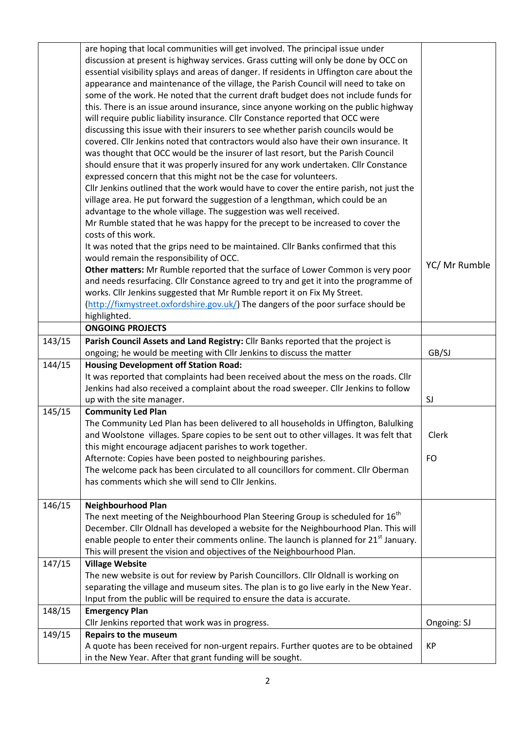|        | are hoping that local communities will get involved. The principal issue under<br>discussion at present is highway services. Grass cutting will only be done by OCC on<br>essential visibility splays and areas of danger. If residents in Uffington care about the<br>appearance and maintenance of the village, the Parish Council will need to take on<br>some of the work. He noted that the current draft budget does not include funds for<br>this. There is an issue around insurance, since anyone working on the public highway<br>will require public liability insurance. Cllr Constance reported that OCC were<br>discussing this issue with their insurers to see whether parish councils would be<br>covered. Cllr Jenkins noted that contractors would also have their own insurance. It<br>was thought that OCC would be the insurer of last resort, but the Parish Council<br>should ensure that it was properly insured for any work undertaken. Cllr Constance<br>expressed concern that this might not be the case for volunteers.<br>Cllr Jenkins outlined that the work would have to cover the entire parish, not just the<br>village area. He put forward the suggestion of a lengthman, which could be an<br>advantage to the whole village. The suggestion was well received.<br>Mr Rumble stated that he was happy for the precept to be increased to cover the |                    |
|--------|--------------------------------------------------------------------------------------------------------------------------------------------------------------------------------------------------------------------------------------------------------------------------------------------------------------------------------------------------------------------------------------------------------------------------------------------------------------------------------------------------------------------------------------------------------------------------------------------------------------------------------------------------------------------------------------------------------------------------------------------------------------------------------------------------------------------------------------------------------------------------------------------------------------------------------------------------------------------------------------------------------------------------------------------------------------------------------------------------------------------------------------------------------------------------------------------------------------------------------------------------------------------------------------------------------------------------------------------------------------------------------------------|--------------------|
|        | costs of this work.<br>It was noted that the grips need to be maintained. Cllr Banks confirmed that this<br>would remain the responsibility of OCC.<br>Other matters: Mr Rumble reported that the surface of Lower Common is very poor<br>and needs resurfacing. Cllr Constance agreed to try and get it into the programme of<br>works. Cllr Jenkins suggested that Mr Rumble report it on Fix My Street.<br>(http://fixmystreet.oxfordshire.gov.uk/) The dangers of the poor surface should be<br>highlighted.                                                                                                                                                                                                                                                                                                                                                                                                                                                                                                                                                                                                                                                                                                                                                                                                                                                                           | YC/ Mr Rumble      |
|        | <b>ONGOING PROJECTS</b>                                                                                                                                                                                                                                                                                                                                                                                                                                                                                                                                                                                                                                                                                                                                                                                                                                                                                                                                                                                                                                                                                                                                                                                                                                                                                                                                                                    |                    |
| 143/15 | Parish Council Assets and Land Registry: Cllr Banks reported that the project is<br>ongoing; he would be meeting with Cllr Jenkins to discuss the matter                                                                                                                                                                                                                                                                                                                                                                                                                                                                                                                                                                                                                                                                                                                                                                                                                                                                                                                                                                                                                                                                                                                                                                                                                                   | GB/SJ              |
| 144/15 | <b>Housing Development off Station Road:</b><br>It was reported that complaints had been received about the mess on the roads. Cllr<br>Jenkins had also received a complaint about the road sweeper. Cllr Jenkins to follow<br>up with the site manager.                                                                                                                                                                                                                                                                                                                                                                                                                                                                                                                                                                                                                                                                                                                                                                                                                                                                                                                                                                                                                                                                                                                                   | SJ                 |
| 145/15 | <b>Community Led Plan</b><br>The Community Led Plan has been delivered to all households in Uffington, Balulking<br>and Woolstone villages. Spare copies to be sent out to other villages. It was felt that<br>this might encourage adjacent parishes to work together.<br>Afternote: Copies have been posted to neighbouring parishes.<br>The welcome pack has been circulated to all councillors for comment. Cllr Oberman<br>has comments which she will send to Cllr Jenkins.                                                                                                                                                                                                                                                                                                                                                                                                                                                                                                                                                                                                                                                                                                                                                                                                                                                                                                          | Clerk<br><b>FO</b> |
| 146/15 | <b>Neighbourhood Plan</b><br>The next meeting of the Neighbourhood Plan Steering Group is scheduled for 16 <sup>th</sup><br>December. Cllr Oldnall has developed a website for the Neighbourhood Plan. This will<br>enable people to enter their comments online. The launch is planned for $21st$ January.<br>This will present the vision and objectives of the Neighbourhood Plan.                                                                                                                                                                                                                                                                                                                                                                                                                                                                                                                                                                                                                                                                                                                                                                                                                                                                                                                                                                                                      |                    |
| 147/15 | <b>Village Website</b><br>The new website is out for review by Parish Councillors. Cllr Oldnall is working on<br>separating the village and museum sites. The plan is to go live early in the New Year.<br>Input from the public will be required to ensure the data is accurate.                                                                                                                                                                                                                                                                                                                                                                                                                                                                                                                                                                                                                                                                                                                                                                                                                                                                                                                                                                                                                                                                                                          |                    |
| 148/15 | <b>Emergency Plan</b><br>Cllr Jenkins reported that work was in progress.                                                                                                                                                                                                                                                                                                                                                                                                                                                                                                                                                                                                                                                                                                                                                                                                                                                                                                                                                                                                                                                                                                                                                                                                                                                                                                                  | Ongoing: SJ        |
| 149/15 | <b>Repairs to the museum</b>                                                                                                                                                                                                                                                                                                                                                                                                                                                                                                                                                                                                                                                                                                                                                                                                                                                                                                                                                                                                                                                                                                                                                                                                                                                                                                                                                               |                    |
|        | A quote has been received for non-urgent repairs. Further quotes are to be obtained<br>in the New Year. After that grant funding will be sought.                                                                                                                                                                                                                                                                                                                                                                                                                                                                                                                                                                                                                                                                                                                                                                                                                                                                                                                                                                                                                                                                                                                                                                                                                                           | KP                 |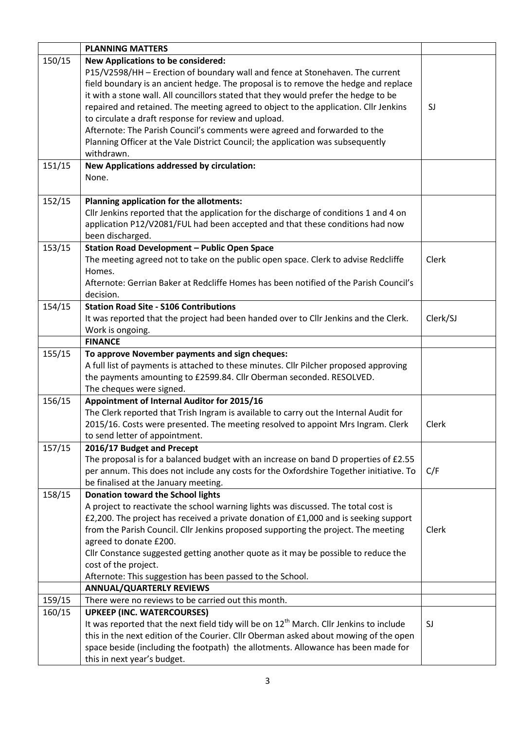|        | <b>PLANNING MATTERS</b>                                                                             |          |
|--------|-----------------------------------------------------------------------------------------------------|----------|
| 150/15 | <b>New Applications to be considered:</b>                                                           |          |
|        | P15/V2598/HH - Erection of boundary wall and fence at Stonehaven. The current                       |          |
|        | field boundary is an ancient hedge. The proposal is to remove the hedge and replace                 |          |
|        | it with a stone wall. All councillors stated that they would prefer the hedge to be                 |          |
|        | repaired and retained. The meeting agreed to object to the application. Cllr Jenkins                | SJ       |
|        | to circulate a draft response for review and upload.                                                |          |
|        | Afternote: The Parish Council's comments were agreed and forwarded to the                           |          |
|        | Planning Officer at the Vale District Council; the application was subsequently                     |          |
|        | withdrawn.                                                                                          |          |
| 151/15 | <b>New Applications addressed by circulation:</b>                                                   |          |
|        | None.                                                                                               |          |
|        |                                                                                                     |          |
| 152/15 | Planning application for the allotments:                                                            |          |
|        | Cllr Jenkins reported that the application for the discharge of conditions 1 and 4 on               |          |
|        | application P12/V2081/FUL had been accepted and that these conditions had now                       |          |
|        | been discharged.                                                                                    |          |
| 153/15 | <b>Station Road Development - Public Open Space</b>                                                 |          |
|        | The meeting agreed not to take on the public open space. Clerk to advise Redcliffe                  | Clerk    |
|        | Homes.<br>Afternote: Gerrian Baker at Redcliffe Homes has been notified of the Parish Council's     |          |
|        | decision.                                                                                           |          |
| 154/15 | <b>Station Road Site - S106 Contributions</b>                                                       |          |
|        | It was reported that the project had been handed over to Cllr Jenkins and the Clerk.                | Clerk/SJ |
|        | Work is ongoing.                                                                                    |          |
|        | <b>FINANCE</b>                                                                                      |          |
| 155/15 | To approve November payments and sign cheques:                                                      |          |
|        | A full list of payments is attached to these minutes. Cllr Pilcher proposed approving               |          |
|        | the payments amounting to £2599.84. Cllr Oberman seconded. RESOLVED.                                |          |
|        | The cheques were signed.                                                                            |          |
| 156/15 | Appointment of Internal Auditor for 2015/16                                                         |          |
|        | The Clerk reported that Trish Ingram is available to carry out the Internal Audit for               |          |
|        | 2015/16. Costs were presented. The meeting resolved to appoint Mrs Ingram. Clerk                    | Clerk    |
|        | to send letter of appointment.                                                                      |          |
| 157/15 | 2016/17 Budget and Precept                                                                          |          |
|        | The proposal is for a balanced budget with an increase on band D properties of £2.55                |          |
|        | per annum. This does not include any costs for the Oxfordshire Together initiative. To              | C/F      |
|        | be finalised at the January meeting.                                                                |          |
| 158/15 | Donation toward the School lights                                                                   |          |
|        | A project to reactivate the school warning lights was discussed. The total cost is                  |          |
|        | £2,200. The project has received a private donation of £1,000 and is seeking support                |          |
|        | from the Parish Council. Cllr Jenkins proposed supporting the project. The meeting                  | Clerk    |
|        | agreed to donate £200.                                                                              |          |
|        | Cllr Constance suggested getting another quote as it may be possible to reduce the                  |          |
|        | cost of the project.                                                                                |          |
|        | Afternote: This suggestion has been passed to the School.                                           |          |
|        | <b>ANNUAL/QUARTERLY REVIEWS</b>                                                                     |          |
| 159/15 | There were no reviews to be carried out this month.                                                 |          |
| 160/15 | <b>UPKEEP (INC. WATERCOURSES)</b>                                                                   |          |
|        | It was reported that the next field tidy will be on 12 <sup>th</sup> March. Cllr Jenkins to include | SJ       |
|        | this in the next edition of the Courier. Cllr Oberman asked about mowing of the open                |          |
|        | space beside (including the footpath) the allotments. Allowance has been made for                   |          |
|        | this in next year's budget.                                                                         |          |